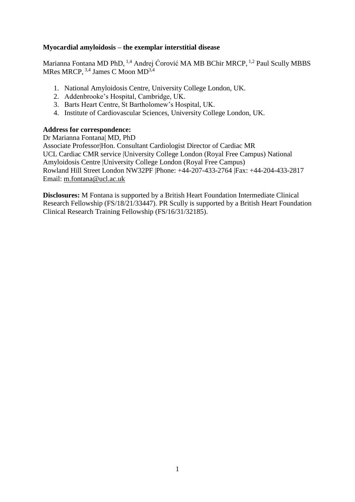### **Myocardial amyloidosis – the exemplar interstitial disease**

Marianna Fontana MD PhD, <sup>1,4</sup> Andrej Ćorović MA MB BChir MRCP, <sup>1,2</sup> Paul Scully MBBS MRes MRCP, <sup>3,4</sup> James C Moon MD<sup>3,4</sup>

- 1. National Amyloidosis Centre, University College London, UK.
- 2. Addenbrooke's Hospital, Cambridge, UK.
- 3. Barts Heart Centre, St Bartholomew's Hospital, UK.
- 4. Institute of Cardiovascular Sciences, University College London, UK.

### **Address for correspondence:**

Dr Marianna Fontana| MD, PhD Associate Professor|Hon. Consultant Cardiologist Director of Cardiac MR UCL Cardiac CMR service |University College London (Royal Free Campus) National Amyloidosis Centre |University College London (Royal Free Campus) Rowland Hill Street London NW32PF |Phone: +44-207-433-2764 |Fax: +44-204-433-2817 Email: m.fontana@ucl.ac.uk

**Disclosures:** M Fontana is supported by a British Heart Foundation Intermediate Clinical Research Fellowship (FS/18/21/33447). PR Scully is supported by a British Heart Foundation Clinical Research Training Fellowship (FS/16/31/32185).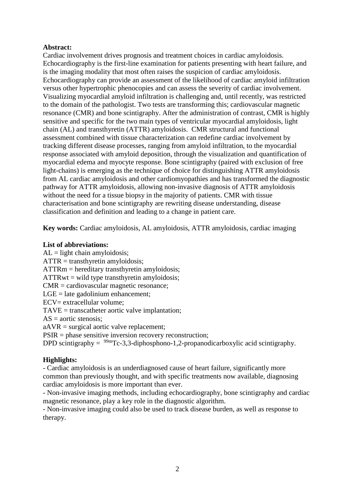### **Abstract:**

Cardiac involvement drives prognosis and treatment choices in cardiac amyloidosis. Echocardiography is the first-line examination for patients presenting with heart failure, and is the imaging modality that most often raises the suspicion of cardiac amyloidosis. Echocardiography can provide an assessment of the likelihood of cardiac amyloid infiltration versus other hypertrophic phenocopies and can assess the severity of cardiac involvement. Visualizing myocardial amyloid infiltration is challenging and, until recently, was restricted to the domain of the pathologist. Two tests are transforming this; cardiovascular magnetic resonance (CMR) and bone scintigraphy. After the administration of contrast, CMR is highly sensitive and specific for the two main types of ventricular myocardial amyloidosis, light chain (AL) and transthyretin (ATTR) amyloidosis. CMR structural and functional assessment combined with tissue characterization can redefine cardiac involvement by tracking different disease processes, ranging from amyloid infiltration, to the myocardial response associated with amyloid deposition, through the visualization and quantification of myocardial edema and myocyte response. Bone scintigraphy (paired with exclusion of free light-chains) is emerging as the technique of choice for distinguishing ATTR amyloidosis from AL cardiac amyloidosis and other cardiomyopathies and has transformed the diagnostic pathway for ATTR amyloidosis, allowing non-invasive diagnosis of ATTR amyloidosis without the need for a tissue biopsy in the majority of patients. CMR with tissue characterisation and bone scintigraphy are rewriting disease understanding, disease classification and definition and leading to a change in patient care.

**Key words:** Cardiac amyloidosis, AL amyloidosis, ATTR amyloidosis, cardiac imaging

### **List of abbreviations:**

 $AL =$  light chain amyloidosis;  $ATTR =$  transthyretin amyloidosis: ATTRm = hereditary transthyretin amyloidosis;  $ATTRwt = wild type transform$ CMR = cardiovascular magnetic resonance;  $LGE =$  late gadolinium enhancement; ECV= extracellular volume: TAVE = transcatheter aortic valve implantation;  $AS = a$ ortic stenosis; aAVR = surgical aortic valve replacement; PSIR = phase sensitive inversion recovery reconstruction; DPD scintigraphy =  $\frac{99 \text{m}}{\text{C}}$ -3,3-diphosphono-1,2-propanodicarboxylic acid scintigraphy.

# **Highlights:**

- Cardiac amyloidosis is an underdiagnosed cause of heart failure, significantly more common than previously thought, and with specific treatments now available, diagnosing cardiac amyloidosis is more important than ever.

- Non-invasive imaging methods, including echocardiography, bone scintigraphy and cardiac magnetic resonance, play a key role in the diagnostic algorithm.

- Non-invasive imaging could also be used to track disease burden, as well as response to therapy.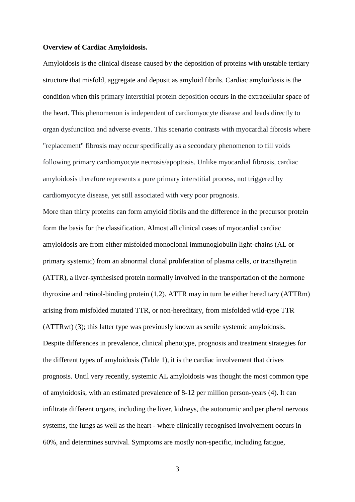#### **Overview of Cardiac Amyloidosis.**

Amyloidosis is the clinical disease caused by the deposition of proteins with unstable tertiary structure that misfold, aggregate and deposit as amyloid fibrils. Cardiac amyloidosis is the condition when this primary interstitial protein deposition occurs in the extracellular space of the heart. This phenomenon is independent of cardiomyocyte disease and leads directly to organ dysfunction and adverse events. This scenario contrasts with myocardial fibrosis where "replacement" fibrosis may occur specifically as a secondary phenomenon to fill voids following primary cardiomyocyte necrosis/apoptosis. Unlike myocardial fibrosis, cardiac amyloidosis therefore represents a pure primary interstitial process, not triggered by cardiomyocyte disease, yet still associated with very poor prognosis.

More than thirty proteins can form amyloid fibrils and the difference in the precursor protein form the basis for the classification. Almost all clinical cases of myocardial cardiac amyloidosis are from either misfolded monoclonal immunoglobulin light-chains (AL or primary systemic) from an abnormal clonal proliferation of plasma cells, or transthyretin (ATTR), a liver-synthesised protein normally involved in the transportation of the hormone thyroxine and retinol-binding protein (1,2). ATTR may in turn be either hereditary (ATTRm) arising from misfolded mutated TTR, or non-hereditary, from misfolded wild-type TTR (ATTRwt) (3); this latter type was previously known as senile systemic amyloidosis. Despite differences in prevalence, clinical phenotype, prognosis and treatment strategies for the different types of amyloidosis (Table 1), it is the cardiac involvement that drives prognosis. Until very recently, systemic AL amyloidosis was thought the most common type of amyloidosis, with an estimated prevalence of 8-12 per million person-years (4). It can infiltrate different organs, including the liver, kidneys, the autonomic and peripheral nervous systems, the lungs as well as the heart - where clinically recognised involvement occurs in 60%, and determines survival. Symptoms are mostly non-specific, including fatigue,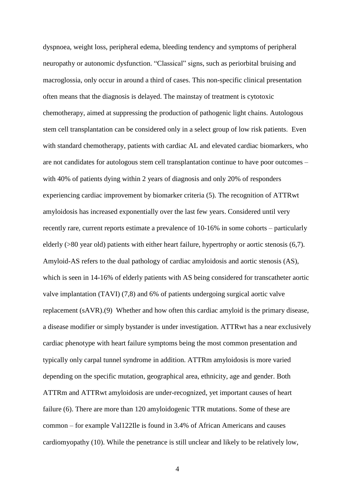dyspnoea, weight loss, peripheral edema, bleeding tendency and symptoms of peripheral neuropathy or autonomic dysfunction. "Classical" signs, such as periorbital bruising and macroglossia, only occur in around a third of cases. This non-specific clinical presentation often means that the diagnosis is delayed. The mainstay of treatment is cytotoxic chemotherapy, aimed at suppressing the production of pathogenic light chains. Autologous stem cell transplantation can be considered only in a select group of low risk patients. Even with standard chemotherapy, patients with cardiac AL and elevated cardiac biomarkers, who are not candidates for autologous stem cell transplantation continue to have poor outcomes – with 40% of patients dying within 2 years of diagnosis and only 20% of responders experiencing cardiac improvement by biomarker criteria (5). The recognition of ATTRwt amyloidosis has increased exponentially over the last few years. Considered until very recently rare, current reports estimate a prevalence of 10-16% in some cohorts – particularly elderly (>80 year old) patients with either heart failure, hypertrophy or aortic stenosis (6,7). Amyloid-AS refers to the dual pathology of cardiac amyloidosis and aortic stenosis (AS), which is seen in 14-16% of elderly patients with AS being considered for transcatheter aortic valve implantation (TAVI) (7,8) and 6% of patients undergoing surgical aortic valve replacement (sAVR).(9) Whether and how often this cardiac amyloid is the primary disease, a disease modifier or simply bystander is under investigation. ATTRwt has a near exclusively cardiac phenotype with heart failure symptoms being the most common presentation and typically only carpal tunnel syndrome in addition. ATTRm amyloidosis is more varied depending on the specific mutation, geographical area, ethnicity, age and gender. Both ATTRm and ATTRwt amyloidosis are under-recognized, yet important causes of heart failure (6). There are more than 120 amyloidogenic TTR mutations. Some of these are common – for example Val122Ile is found in 3.4% of African Americans and causes cardiomyopathy (10). While the penetrance is still unclear and likely to be relatively low,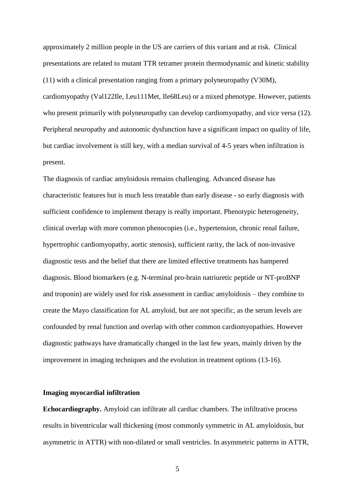approximately 2 million people in the US are carriers of this variant and at risk. Clinical presentations are related to mutant TTR tetramer protein thermodynamic and kinetic stability (11) with a clinical presentation ranging from a primary polyneuropathy (V30M), cardiomyopathy (Val122Ile, Leu111Met, Ile68Leu) or a mixed phenotype. However, patients who present primarily with polyneuropathy can develop cardiomyopathy, and vice versa (12). Peripheral neuropathy and autonomic dysfunction have a significant impact on quality of life, but cardiac involvement is still key, with a median survival of 4-5 years when infiltration is present.

The diagnosis of cardiac amyloidosis remains challenging. Advanced disease has characteristic features but is much less treatable than early disease - so early diagnosis with sufficient confidence to implement therapy is really important. Phenotypic heterogeneity, clinical overlap with more common phenocopies (i.e., hypertension, chronic renal failure, hypertrophic cardiomyopathy, aortic stenosis), sufficient rarity, the lack of non-invasive diagnostic tests and the belief that there are limited effective treatments has hampered diagnosis. Blood biomarkers (e.g. N-terminal pro-brain natriuretic peptide or NT-proBNP and troponin) are widely used for risk assessment in cardiac amyloidosis – they combine to create the Mayo classification for AL amyloid, but are not specific, as the serum levels are confounded by renal function and overlap with other common cardiomyopathies. However diagnostic pathways have dramatically changed in the last few years, mainly driven by the improvement in imaging techniques and the evolution in treatment options (13-16).

#### **Imaging myocardial infiltration**

**Echocardiography.** Amyloid can infiltrate all cardiac chambers. The infiltrative process results in biventricular wall thickening (most commonly symmetric in AL amyloidosis, but asymmetric in ATTR) with non-dilated or small ventricles. In asymmetric patterns in ATTR,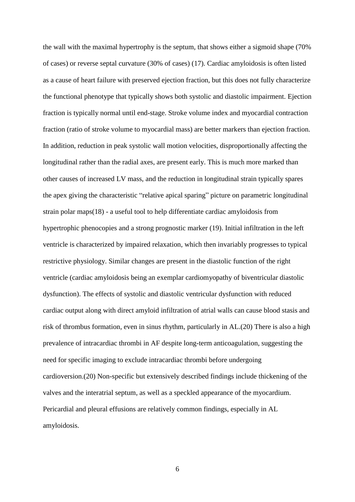the wall with the maximal hypertrophy is the septum, that shows either a sigmoid shape (70% of cases) or reverse septal curvature (30% of cases) (17). Cardiac amyloidosis is often listed as a cause of heart failure with preserved ejection fraction, but this does not fully characterize the functional phenotype that typically shows both systolic and diastolic impairment. Ejection fraction is typically normal until end-stage. Stroke volume index and myocardial contraction fraction (ratio of stroke volume to myocardial mass) are better markers than ejection fraction. In addition, reduction in peak systolic wall motion velocities, disproportionally affecting the longitudinal rather than the radial axes, are present early. This is much more marked than other causes of increased LV mass, and the reduction in longitudinal strain typically spares the apex giving the characteristic "relative apical sparing" picture on parametric longitudinal strain polar maps(18) - a useful tool to help differentiate cardiac amyloidosis from hypertrophic phenocopies and a strong prognostic marker (19). Initial infiltration in the left ventricle is characterized by impaired relaxation, which then invariably progresses to typical restrictive physiology. Similar changes are present in the diastolic function of the right ventricle (cardiac amyloidosis being an exemplar cardiomyopathy of biventricular diastolic dysfunction). The effects of systolic and diastolic ventricular dysfunction with reduced cardiac output along with direct amyloid infiltration of atrial walls can cause blood stasis and risk of thrombus formation, even in sinus rhythm, particularly in AL.(20) There is also a high prevalence of intracardiac thrombi in AF despite long-term anticoagulation, suggesting the need for specific imaging to exclude intracardiac thrombi before undergoing cardioversion.(20) Non-specific but extensively described findings include thickening of the valves and the interatrial septum, as well as a speckled appearance of the myocardium. Pericardial and pleural effusions are relatively common findings, especially in AL amyloidosis.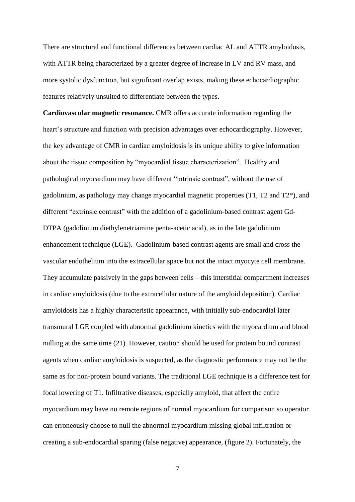There are structural and functional differences between cardiac AL and ATTR amyloidosis, with ATTR being characterized by a greater degree of increase in LV and RV mass, and more systolic dysfunction, but significant overlap exists, making these echocardiographic features relatively unsuited to differentiate between the types.

**Cardiovascular magnetic resonance.** CMR offers accurate information regarding the heart's structure and function with precision advantages over echocardiography. However, the key advantage of CMR in cardiac amyloidosis is its unique ability to give information about the tissue composition by "myocardial tissue characterization". Healthy and pathological myocardium may have different "intrinsic contrast", without the use of gadolinium, as pathology may change myocardial magnetic properties (T1, T2 and T2\*), and different "extrinsic contrast" with the addition of a gadolinium-based contrast agent Gd-DTPA (gadolinium diethylenetriamine penta-acetic acid), as in the late gadolinium enhancement technique (LGE). Gadolinium-based contrast agents are small and cross the vascular endothelium into the extracellular space but not the intact myocyte cell membrane. They accumulate passively in the gaps between cells – this interstitial compartment increases in cardiac amyloidosis (due to the extracellular nature of the amyloid deposition). Cardiac amyloidosis has a highly characteristic appearance, with initially sub-endocardial later transmural LGE coupled with abnormal gadolinium kinetics with the myocardium and blood nulling at the same time (21). However, caution should be used for protein bound contrast agents when cardiac amyloidosis is suspected, as the diagnostic performance may not be the same as for non-protein bound variants. The traditional LGE technique is a difference test for focal lowering of T1. Infiltrative diseases, especially amyloid, that affect the entire myocardium may have no remote regions of normal myocardium for comparison so operator can erroneously choose to null the abnormal myocardium missing global infiltration or creating a sub-endocardial sparing (false negative) appearance, (figure 2). Fortunately, the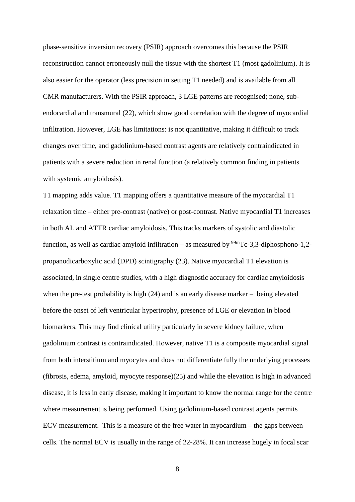phase-sensitive inversion recovery (PSIR) approach overcomes this because the PSIR reconstruction cannot erroneously null the tissue with the shortest T1 (most gadolinium). It is also easier for the operator (less precision in setting T1 needed) and is available from all CMR manufacturers. With the PSIR approach, 3 LGE patterns are recognised; none, subendocardial and transmural (22), which show good correlation with the degree of myocardial infiltration. However, LGE has limitations: is not quantitative, making it difficult to track changes over time, and gadolinium-based contrast agents are relatively contraindicated in patients with a severe reduction in renal function (a relatively common finding in patients with systemic amyloidosis).

T1 mapping adds value. T1 mapping offers a quantitative measure of the myocardial T1 relaxation time – either pre-contrast (native) or post-contrast. Native myocardial T1 increases in both AL and ATTR cardiac amyloidosis. This tracks markers of systolic and diastolic function, as well as cardiac amyloid infiltration – as measured by  $\frac{99 \text{m}}{\text{C}} - 3.3$ -diphosphono-1,2propanodicarboxylic acid (DPD) scintigraphy (23). Native myocardial T1 elevation is associated, in single centre studies, with a high diagnostic accuracy for cardiac amyloidosis when the pre-test probability is high (24) and is an early disease marker – being elevated before the onset of left ventricular hypertrophy, presence of LGE or elevation in blood biomarkers. This may find clinical utility particularly in severe kidney failure, when gadolinium contrast is contraindicated. However, native T1 is a composite myocardial signal from both interstitium and myocytes and does not differentiate fully the underlying processes (fibrosis, edema, amyloid, myocyte response)(25) and while the elevation is high in advanced disease, it is less in early disease, making it important to know the normal range for the centre where measurement is being performed. Using gadolinium-based contrast agents permits ECV measurement. This is a measure of the free water in myocardium – the gaps between cells. The normal ECV is usually in the range of 22-28%. It can increase hugely in focal scar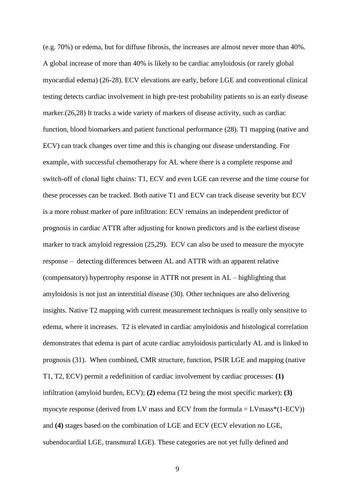(e.g. 70%) or edema, but for diffuse fibrosis, the increases are almost never more than 40%. A global increase of more than 40% is likely to be cardiac amyloidosis (or rarely global myocardial edema) (26-28). ECV elevations are early, before LGE and conventional clinical testing detects cardiac involvement in high pre-test probability patients so is an early disease marker.(26,28) It tracks a wide variety of markers of disease activity, such as cardiac function, blood biomarkers and patient functional performance (28). T1 mapping (native and ECV) can track changes over time and this is changing our disease understanding. For example, with successful chemotherapy for AL where there is a complete response and switch-off of clonal light chains: T1, ECV and even LGE can reverse and the time course for these processes can be tracked. Both native T1 and ECV can track disease severity but ECV is a more robust marker of pure infiltration: ECV remains an independent predictor of prognosis in cardiac ATTR after adjusting for known predictors and is the earliest disease marker to track amyloid regression (25,29). ECV can also be used to measure the myocyte response – detecting differences between AL and ATTR with an apparent relative (compensatory) hypertrophy response in ATTR not present in AL – highlighting that amyloidosis is not just an interstitial disease (30). Other techniques are also delivering insights. Native T2 mapping with current measurement techniques is really only sensitive to edema, where it increases. T2 is elevated in cardiac amyloidosis and histological correlation demonstrates that edema is part of acute cardiac amyloidosis particularly AL and is linked to prognosis (31). When combined, CMR structure, function, PSIR LGE and mapping (native T1, T2, ECV) permit a redefinition of cardiac involvement by cardiac processes: **(1)** infiltration (amyloid burden, ECV); **(2)** edema (T2 being the most specific marker); **(3)** myocyte response (derived from LV mass and ECV from the formula  $=$  LVmass\*(1-ECV)) and **(4)** stages based on the combination of LGE and ECV (ECV elevation no LGE, subendocardial LGE, transmural LGE). These categories are not yet fully defined and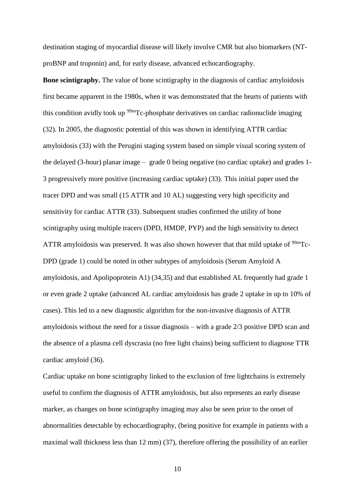destination staging of myocardial disease will likely involve CMR but also biomarkers (NTproBNP and troponin) and, for early disease, advanced echocardiography.

**Bone scintigraphy.** The value of bone scintigraphy in the diagnosis of cardiac amyloidosis first became apparent in the 1980s, when it was demonstrated that the hearts of patients with this condition avidly took up  $\frac{99 \text{m}}{C}$ -phosphate derivatives on cardiac radionuclide imaging (32). In 2005, the diagnostic potential of this was shown in identifying ATTR cardiac amyloidosis (33) with the Perugini staging system based on simple visual scoring system of the delayed (3-hour) planar image – grade 0 being negative (no cardiac uptake) and grades 1- 3 progressively more positive (increasing cardiac uptake) (33). This initial paper used the tracer DPD and was small (15 ATTR and 10 AL) suggesting very high specificity and sensitivity for cardiac ATTR (33). Subsequent studies confirmed the utility of bone scintigraphy using multiple tracers (DPD, HMDP, PYP) and the high sensitivity to detect ATTR amyloidosis was preserved. It was also shown however that that mild uptake of  $99mTc$ -DPD (grade 1) could be noted in other subtypes of amyloidosis (Serum Amyloid A amyloidosis, and Apolipoprotein A1) (34,35) and that established AL frequently had grade 1 or even grade 2 uptake (advanced AL cardiac amyloidosis has grade 2 uptake in up to 10% of cases). This led to a new diagnostic algorithm for the non-invasive diagnosis of ATTR amyloidosis without the need for a tissue diagnosis – with a grade 2/3 positive DPD scan and the absence of a plasma cell dyscrasia (no free light chains) being sufficient to diagnose TTR cardiac amyloid (36).

Cardiac uptake on bone scintigraphy linked to the exclusion of free lightchains is extremely useful to confirm the diagnosis of ATTR amyloidosis, but also represents an early disease marker, as changes on bone scintigraphy imaging may also be seen prior to the onset of abnormalities detectable by echocardiography, (being positive for example in patients with a maximal wall thickness less than 12 mm) (37), therefore offering the possibility of an earlier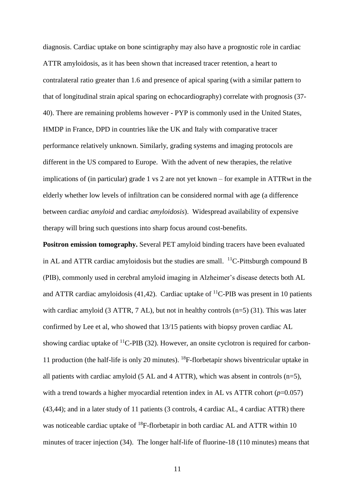diagnosis. Cardiac uptake on bone scintigraphy may also have a prognostic role in cardiac ATTR amyloidosis, as it has been shown that increased tracer retention, a heart to contralateral ratio greater than 1.6 and presence of apical sparing (with a similar pattern to that of longitudinal strain apical sparing on echocardiography) correlate with prognosis (37- 40). There are remaining problems however - PYP is commonly used in the United States, HMDP in France, DPD in countries like the UK and Italy with comparative tracer performance relatively unknown. Similarly, grading systems and imaging protocols are different in the US compared to Europe. With the advent of new therapies, the relative implications of (in particular) grade 1 vs 2 are not yet known – for example in ATTRwt in the elderly whether low levels of infiltration can be considered normal with age (a difference between cardiac *amyloid* and cardiac *amyloidosis*). Widespread availability of expensive therapy will bring such questions into sharp focus around cost-benefits.

**Positron emission tomography.** Several PET amyloid binding tracers have been evaluated in AL and ATTR cardiac amyloidosis but the studies are small.  $^{11}$ C-Pittsburgh compound B (PIB), commonly used in cerebral amyloid imaging in Alzheimer's disease detects both AL and ATTR cardiac amyloidosis (41,42). Cardiac uptake of  ${}^{11}$ C-PIB was present in 10 patients with cardiac amyloid  $(3$  ATTR,  $7$  AL), but not in healthy controls  $(n=5)$   $(31)$ . This was later confirmed by Lee et al, who showed that 13/15 patients with biopsy proven cardiac AL showing cardiac uptake of  ${}^{11}$ C-PIB (32). However, an onsite cyclotron is required for carbon-11 production (the half-life is only 20 minutes). <sup>18</sup>F-florbetapir shows biventricular uptake in all patients with cardiac amyloid (5 AL and 4 ATTR), which was absent in controls (n=5), with a trend towards a higher myocardial retention index in AL vs ATTR cohort  $(p=0.057)$ (43,44); and in a later study of 11 patients (3 controls, 4 cardiac AL, 4 cardiac ATTR) there was noticeable cardiac uptake of <sup>18</sup>F-florbetapir in both cardiac AL and ATTR within 10 minutes of tracer injection (34). The longer half-life of fluorine-18 (110 minutes) means that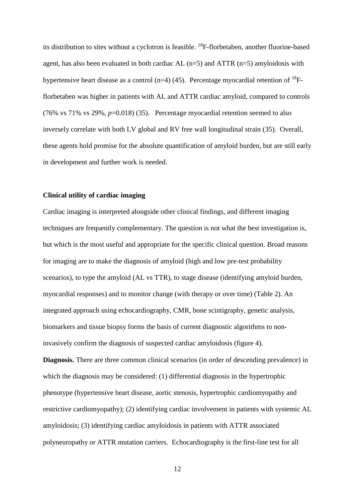its distribution to sites without a cyclotron is feasible. <sup>18</sup>F-florbetaben, another fluorine-based agent, has also been evaluated in both cardiac AL  $(n=5)$  and ATTR  $(n=5)$  amyloidosis with hypertensive heart disease as a control (n=4) (45). Percentage myocardial retention of  $^{18}F$ florbetaben was higher in patients with AL and ATTR cardiac amyloid, compared to controls (76% vs 71% vs 29%, *p*=0.018) (35). Percentage myocardial retention seemed to also inversely correlate with both LV global and RV free wall longitudinal strain (35). Overall, these agents hold promise for the absolute quantification of amyloid burden, but are still early in development and further work is needed.

#### **Clinical utility of cardiac imaging**

Cardiac imaging is interpreted alongside other clinical findings, and different imaging techniques are frequently complementary. The question is not what the best investigation is, but which is the most useful and appropriate for the specific clinical question. Broad reasons for imaging are to make the diagnosis of amyloid (high and low pre-test probability scenarios), to type the amyloid (AL vs TTR), to stage disease (identifying amyloid burden, myocardial responses) and to monitor change (with therapy or over time) (Table 2). An integrated approach using echocardiography, CMR, bone scintigraphy, genetic analysis, biomarkers and tissue biopsy forms the basis of current diagnostic algorithms to noninvasively confirm the diagnosis of suspected cardiac amyloidosis (figure 4).

**Diagnosis.** There are three common clinical scenarios (in order of descending prevalence) in which the diagnosis may be considered: (1) differential diagnosis in the hypertrophic phenotype (hypertensive heart disease, aortic stenosis, hypertrophic cardiomyopathy and restrictive cardiomyopathy); (2) identifying cardiac involvement in patients with systemic AL amyloidosis; (3) identifying cardiac amyloidosis in patients with ATTR associated polyneuropathy or ATTR mutation carriers. Echocardiography is the first-line test for all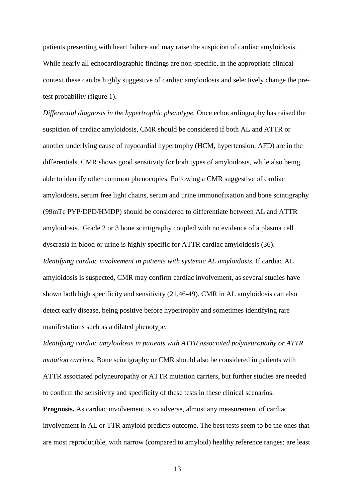patients presenting with heart failure and may raise the suspicion of cardiac amyloidosis. While nearly all echocardiographic findings are non-specific, in the appropriate clinical context these can be highly suggestive of cardiac amyloidosis and selectively change the pretest probability (figure 1).

*Differential diagnosis in the hypertrophic phenotype.* Once echocardiography has raised the suspicion of cardiac amyloidosis, CMR should be considered if both AL and ATTR or another underlying cause of myocardial hypertrophy (HCM, hypertension, AFD) are in the differentials. CMR shows good sensitivity for both types of amyloidosis, while also being able to identify other common phenocopies. Following a CMR suggestive of cardiac amyloidosis, serum free light chains, serum and urine immunofixation and bone scintigraphy (99mTc PYP/DPD/HMDP) should be considered to differentiate between AL and ATTR amyloidosis. Grade 2 or 3 bone scintigraphy coupled with no evidence of a plasma cell dyscrasia in blood or urine is highly specific for ATTR cardiac amyloidosis (36). *Identifying cardiac involvement in patients with systemic AL amyloidosis.* If cardiac AL amyloidosis is suspected, CMR may confirm cardiac involvement, as several studies have shown both high specificity and sensitivity (21,46-49). CMR in AL amyloidosis can also detect early disease, being positive before hypertrophy and sometimes identifying rare manifestations such as a dilated phenotype.

*Identifying cardiac amyloidosis in patients with ATTR associated polyneuropathy or ATTR mutation carriers.* Bone scintigraphy or CMR should also be considered in patients with ATTR associated polyneuropathy or ATTR mutation carriers, but further studies are needed to confirm the sensitivity and specificity of these tests in these clinical scenarios.

**Prognosis.** As cardiac involvement is so adverse, almost any measurement of cardiac involvement in AL or TTR amyloid predicts outcome. The best tests seem to be the ones that are most reproducible, with narrow (compared to amyloid) healthy reference ranges; are least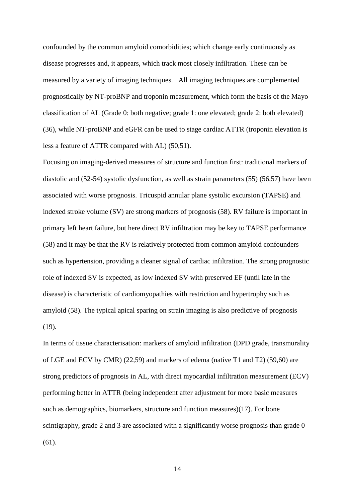confounded by the common amyloid comorbidities; which change early continuously as disease progresses and, it appears, which track most closely infiltration. These can be measured by a variety of imaging techniques.All imaging techniques are complemented prognostically by NT-proBNP and troponin measurement, which form the basis of the Mayo classification of AL (Grade 0: both negative; grade 1: one elevated; grade 2: both elevated) (36), while NT-proBNP and eGFR can be used to stage cardiac ATTR (troponin elevation is less a feature of ATTR compared with AL) (50,51).

Focusing on imaging-derived measures of structure and function first: traditional markers of diastolic and (52-54) systolic dysfunction, as well as strain parameters (55) (56,57) have been associated with worse prognosis. Tricuspid annular plane systolic excursion (TAPSE) and indexed stroke volume (SV) are strong markers of prognosis (58). RV failure is important in primary left heart failure, but here direct RV infiltration may be key to TAPSE performance (58) and it may be that the RV is relatively protected from common amyloid confounders such as hypertension, providing a cleaner signal of cardiac infiltration. The strong prognostic role of indexed SV is expected, as low indexed SV with preserved EF (until late in the disease) is characteristic of cardiomyopathies with restriction and hypertrophy such as amyloid (58). The typical apical sparing on strain imaging is also predictive of prognosis (19).

In terms of tissue characterisation: markers of amyloid infiltration (DPD grade, transmurality of LGE and ECV by CMR) (22,59) and markers of edema (native T1 and T2) (59,60) are strong predictors of prognosis in AL, with direct myocardial infiltration measurement (ECV) performing better in ATTR (being independent after adjustment for more basic measures such as demographics, biomarkers, structure and function measures)(17). For bone scintigraphy, grade 2 and 3 are associated with a significantly worse prognosis than grade 0 (61).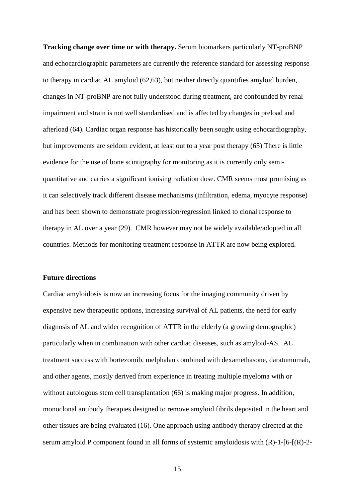**Tracking change over time or with therapy.** Serum biomarkers particularly NT-proBNP and echocardiographic parameters are currently the reference standard for assessing response to therapy in cardiac AL amyloid (62,63), but neither directly quantifies amyloid burden, changes in NT-proBNP are not fully understood during treatment, are confounded by renal impairment and strain is not well standardised and is affected by changes in preload and afterload (64). Cardiac organ response has historically been sought using echocardiography, but improvements are seldom evident, at least out to a year post therapy (65) There is little evidence for the use of bone scintigraphy for monitoring as it is currently only semiquantitative and carries a significant ionising radiation dose. CMR seems most promising as it can selectively track different disease mechanisms (infiltration, edema, myocyte response) and has been shown to demonstrate progression/regression linked to clonal response to therapy in AL over a year (29). CMR however may not be widely available/adopted in all countries. Methods for monitoring treatment response in ATTR are now being explored.

#### **Future directions**

Cardiac amyloidosis is now an increasing focus for the imaging community driven by expensive new therapeutic options, increasing survival of AL patients, the need for early diagnosis of AL and wider recognition of ATTR in the elderly (a growing demographic) particularly when in combination with other cardiac diseases, such as amyloid-AS. AL treatment success with bortezomib, melphalan combined with dexamethasone, daratumumab, and other agents, mostly derived from experience in treating multiple myeloma with or without autologous stem cell transplantation (66) is making major progress. In addition, monoclonal antibody therapies designed to remove amyloid fibrils deposited in the heart and other tissues are being evaluated (16). One approach using antibody therapy directed at the serum amyloid P component found in all forms of systemic amyloidosis with  $(R)$ -1- $[6-[R)$ -2-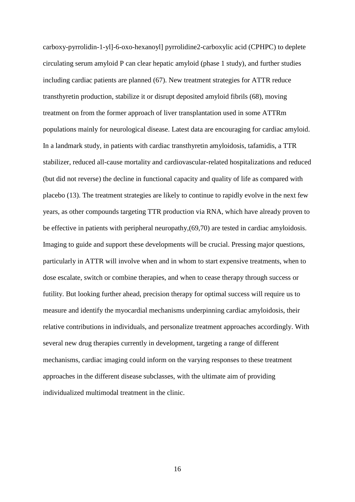carboxy-pyrrolidin-1-yl]-6-oxo-hexanoyl] pyrrolidine2-carboxylic acid (CPHPC) to deplete circulating serum amyloid P can clear hepatic amyloid (phase 1 study), and further studies including cardiac patients are planned (67). New treatment strategies for ATTR reduce transthyretin production, stabilize it or disrupt deposited amyloid fibrils (68), moving treatment on from the former approach of liver transplantation used in some ATTRm populations mainly for neurological disease. Latest data are encouraging for cardiac amyloid. In a landmark study, in patients with cardiac transthyretin amyloidosis, tafamidis, a TTR stabilizer, reduced all-cause mortality and cardiovascular-related hospitalizations and reduced (but did not reverse) the decline in functional capacity and quality of life as compared with placebo (13). The treatment strategies are likely to continue to rapidly evolve in the next few years, as other compounds targeting TTR production via RNA, which have already proven to be effective in patients with peripheral neuropathy,(69,70) are tested in cardiac amyloidosis. Imaging to guide and support these developments will be crucial. Pressing major questions, particularly in ATTR will involve when and in whom to start expensive treatments, when to dose escalate, switch or combine therapies, and when to cease therapy through success or futility. But looking further ahead, precision therapy for optimal success will require us to measure and identify the myocardial mechanisms underpinning cardiac amyloidosis, their relative contributions in individuals, and personalize treatment approaches accordingly. With several new drug therapies currently in development, targeting a range of different mechanisms, cardiac imaging could inform on the varying responses to these treatment approaches in the different disease subclasses, with the ultimate aim of providing individualized multimodal treatment in the clinic.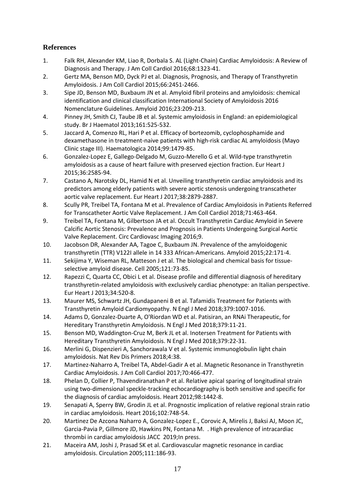# **References**

- 1. Falk RH, Alexander KM, Liao R, Dorbala S. AL (Light-Chain) Cardiac Amyloidosis: A Review of Diagnosis and Therapy. J Am Coll Cardiol 2016;68:1323-41.
- 2. Gertz MA, Benson MD, Dyck PJ et al. Diagnosis, Prognosis, and Therapy of Transthyretin Amyloidosis. J Am Coll Cardiol 2015;66:2451-2466.
- 3. Sipe JD, Benson MD, Buxbaum JN et al. Amyloid fibril proteins and amyloidosis: chemical identification and clinical classification International Society of Amyloidosis 2016 Nomenclature Guidelines. Amyloid 2016;23:209-213.
- 4. Pinney JH, Smith CJ, Taube JB et al. Systemic amyloidosis in England: an epidemiological study. Br J Haematol 2013;161:525-532.
- 5. Jaccard A, Comenzo RL, Hari P et al. Efficacy of bortezomib, cyclophosphamide and dexamethasone in treatment-naive patients with high-risk cardiac AL amyloidosis (Mayo Clinic stage III). Haematologica 2014;99:1479-85.
- 6. Gonzalez-Lopez E, Gallego-Delgado M, Guzzo-Merello G et al. Wild-type transthyretin amyloidosis as a cause of heart failure with preserved ejection fraction. Eur Heart J 2015;36:2585-94.
- 7. Castano A, Narotsky DL, Hamid N et al. Unveiling transthyretin cardiac amyloidosis and its predictors among elderly patients with severe aortic stenosis undergoing transcatheter aortic valve replacement. Eur Heart J 2017;38:2879-2887.
- 8. Scully PR, Treibel TA, Fontana M et al. Prevalence of Cardiac Amyloidosis in Patients Referred for Transcatheter Aortic Valve Replacement. J Am Coll Cardiol 2018;71:463-464.
- 9. Treibel TA, Fontana M, Gilbertson JA et al. Occult Transthyretin Cardiac Amyloid in Severe Calcific Aortic Stenosis: Prevalence and Prognosis in Patients Undergoing Surgical Aortic Valve Replacement. Circ Cardiovasc Imaging 2016;9.
- 10. Jacobson DR, Alexander AA, Tagoe C, Buxbaum JN. Prevalence of the amyloidogenic transthyretin (TTR) V122I allele in 14 333 African-Americans. Amyloid 2015;22:171-4.
- 11. Sekijima Y, Wiseman RL, Matteson J et al. The biological and chemical basis for tissueselective amyloid disease. Cell 2005;121:73-85.
- 12. Rapezzi C, Quarta CC, Obici L et al. Disease profile and differential diagnosis of hereditary transthyretin-related amyloidosis with exclusively cardiac phenotype: an Italian perspective. Eur Heart J 2013;34:520-8.
- 13. Maurer MS, Schwartz JH, Gundapaneni B et al. Tafamidis Treatment for Patients with Transthyretin Amyloid Cardiomyopathy. N Engl J Med 2018;379:1007-1016.
- 14. Adams D, Gonzalez-Duarte A, O'Riordan WD et al. Patisiran, an RNAi Therapeutic, for Hereditary Transthyretin Amyloidosis. N Engl J Med 2018;379:11-21.
- 15. Benson MD, Waddington-Cruz M, Berk JL et al. Inotersen Treatment for Patients with Hereditary Transthyretin Amyloidosis. N Engl J Med 2018;379:22-31.
- 16. Merlini G, Dispenzieri A, Sanchorawala V et al. Systemic immunoglobulin light chain amyloidosis. Nat Rev Dis Primers 2018;4:38.
- 17. Martinez-Naharro A, Treibel TA, Abdel-Gadir A et al. Magnetic Resonance in Transthyretin Cardiac Amyloidosis. J Am Coll Cardiol 2017;70:466-477.
- 18. Phelan D, Collier P, Thavendiranathan P et al. Relative apical sparing of longitudinal strain using two-dimensional speckle-tracking echocardiography is both sensitive and specific for the diagnosis of cardiac amyloidosis. Heart 2012;98:1442-8.
- 19. Senapati A, Sperry BW, Grodin JL et al. Prognostic implication of relative regional strain ratio in cardiac amyloidosis. Heart 2016;102:748-54.
- 20. Martinez De Azcona Naharro A, Gonzalez-Lopez E., Corovic A, Mirelis J, Baksi AJ, Moon JC, Garcia-Pavia P, Gillmore JD, Hawkins PN, Fontana M. . High prevalence of intracardiac thrombi in cardiac amyloidosis JACC 2019;In press.
- 21. Maceira AM, Joshi J, Prasad SK et al. Cardiovascular magnetic resonance in cardiac amyloidosis. Circulation 2005;111:186-93.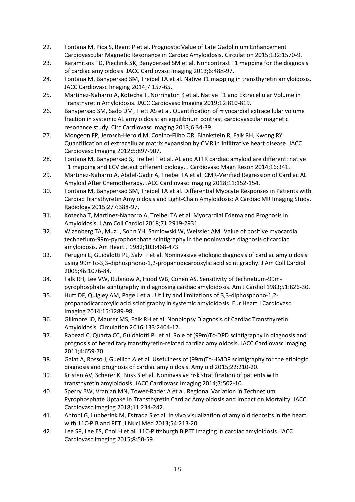- 22. Fontana M, Pica S, Reant P et al. Prognostic Value of Late Gadolinium Enhancement Cardiovascular Magnetic Resonance in Cardiac Amyloidosis. Circulation 2015;132:1570-9.
- 23. Karamitsos TD, Piechnik SK, Banypersad SM et al. Noncontrast T1 mapping for the diagnosis of cardiac amyloidosis. JACC Cardiovasc Imaging 2013;6:488-97.
- 24. Fontana M, Banypersad SM, Treibel TA et al. Native T1 mapping in transthyretin amyloidosis. JACC Cardiovasc Imaging 2014;7:157-65.
- 25. Martinez-Naharro A, Kotecha T, Norrington K et al. Native T1 and Extracellular Volume in Transthyretin Amyloidosis. JACC Cardiovasc Imaging 2019;12:810-819.
- 26. Banypersad SM, Sado DM, Flett AS et al. Quantification of myocardial extracellular volume fraction in systemic AL amyloidosis: an equilibrium contrast cardiovascular magnetic resonance study. Circ Cardiovasc Imaging 2013;6:34-39.
- 27. Mongeon FP, Jerosch-Herold M, Coelho-Filho OR, Blankstein R, Falk RH, Kwong RY. Quantification of extracellular matrix expansion by CMR in infiltrative heart disease. JACC Cardiovasc Imaging 2012;5:897-907.
- 28. Fontana M, Banypersad S, Treibel T et al. AL and ATTR cardiac amyloid are different: native T1 mapping and ECV detect different biology. J Cardiovasc Magn Reson 2014;16:341.
- 29. Martinez-Naharro A, Abdel-Gadir A, Treibel TA et al. CMR-Verified Regression of Cardiac AL Amyloid After Chemotherapy. JACC Cardiovasc Imaging 2018;11:152-154.
- 30. Fontana M, Banypersad SM, Treibel TA et al. Differential Myocyte Responses in Patients with Cardiac Transthyretin Amyloidosis and Light-Chain Amyloidosis: A Cardiac MR Imaging Study. Radiology 2015;277:388-97.
- 31. Kotecha T, Martinez-Naharro A, Treibel TA et al. Myocardial Edema and Prognosis in Amyloidosis. J Am Coll Cardiol 2018;71:2919-2931.
- 32. Wizenberg TA, Muz J, Sohn YH, Samlowski W, Weissler AM. Value of positive myocardial technetium-99m-pyrophosphate scintigraphy in the noninvasive diagnosis of cardiac amyloidosis. Am Heart J 1982;103:468-473.
- 33. Perugini E, Guidalotti PL, Salvi F et al. Noninvasive etiologic diagnosis of cardiac amyloidosis using 99mTc-3,3-diphosphono-1,2-propanodicarboxylic acid scintigraphy. J Am Coll Cardiol 2005;46:1076-84.
- 34. Falk RH, Lee VW, Rubinow A, Hood WB, Cohen AS. Sensitivity of technetium-99mpyrophosphate scintigraphy in diagnosing cardiac amyloidosis. Am J Cardiol 1983;51:826-30.
- 35. Hutt DF, Quigley AM, Page J et al. Utility and limitations of 3,3-diphosphono-1,2 propanodicarboxylic acid scintigraphy in systemic amyloidosis. Eur Heart J Cardiovasc Imaging 2014;15:1289-98.
- 36. Gillmore JD, Maurer MS, Falk RH et al. Nonbiopsy Diagnosis of Cardiac Transthyretin Amyloidosis. Circulation 2016;133:2404-12.
- 37. Rapezzi C, Quarta CC, Guidalotti PL et al. Role of (99m)Tc-DPD scintigraphy in diagnosis and prognosis of hereditary transthyretin-related cardiac amyloidosis. JACC Cardiovasc Imaging 2011;4:659-70.
- 38. Galat A, Rosso J, Guellich A et al. Usefulness of (99m)Tc-HMDP scintigraphy for the etiologic diagnosis and prognosis of cardiac amyloidosis. Amyloid 2015;22:210-20.
- 39. Kristen AV, Scherer K, Buss S et al. Noninvasive risk stratification of patients with transthyretin amyloidosis. JACC Cardiovasc Imaging 2014;7:502-10.
- 40. Sperry BW, Vranian MN, Tower-Rader A et al. Regional Variation in Technetium Pyrophosphate Uptake in Transthyretin Cardiac Amyloidosis and Impact on Mortality. JACC Cardiovasc Imaging 2018;11:234-242.
- 41. Antoni G, Lubberink M, Estrada S et al. In vivo visualization of amyloid deposits in the heart with 11C-PIB and PET. J Nucl Med 2013;54:213-20.
- 42. Lee SP, Lee ES, Choi H et al. 11C-Pittsburgh B PET imaging in cardiac amyloidosis. JACC Cardiovasc Imaging 2015;8:50-59.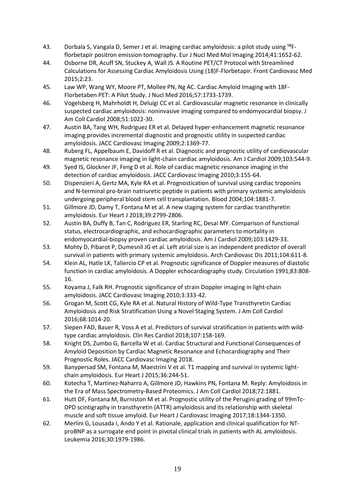- 43. Dorbala S, Vangala D, Semer J et al. Imaging cardiac amyloidosis: a pilot study using <sup>18</sup>Fflorbetapir positron emission tomography. Eur J Nucl Med Mol Imaging 2014;41:1652-62.
- 44. Osborne DR, Acuff SN, Stuckey A, Wall JS. A Routine PET/CT Protocol with Streamlined Calculations for Assessing Cardiac Amyloidosis Using (18)F-Florbetapir. Front Cardiovasc Med 2015;2:23.
- 45. Law WP, Wang WY, Moore PT, Mollee PN, Ng AC. Cardiac Amyloid Imaging with 18F-Florbetaben PET: A Pilot Study. J Nucl Med 2016;57:1733-1739.
- 46. Vogelsberg H, Mahrholdt H, Deluigi CC et al. Cardiovascular magnetic resonance in clinically suspected cardiac amyloidosis: noninvasive imaging compared to endomyocardial biopsy. J Am Coll Cardiol 2008;51:1022-30.
- 47. Austin BA, Tang WH, Rodriguez ER et al. Delayed hyper-enhancement magnetic resonance imaging provides incremental diagnostic and prognostic utility in suspected cardiac amyloidosis. JACC Cardiovasc Imaging 2009;2:1369-77.
- 48. Ruberg FL, Appelbaum E, Davidoff R et al. Diagnostic and prognostic utility of cardiovascular magnetic resonance imaging in light-chain cardiac amyloidosis. Am J Cardiol 2009;103:544-9.
- 49. Syed IS, Glockner JF, Feng D et al. Role of cardiac magnetic resonance imaging in the detection of cardiac amyloidosis. JACC Cardiovasc Imaging 2010;3:155-64.
- 50. Dispenzieri A, Gertz MA, Kyle RA et al. Prognostication of survival using cardiac troponins and N-terminal pro-brain natriuretic peptide in patients with primary systemic amyloidosis undergoing peripheral blood stem cell transplantation. Blood 2004;104:1881-7.
- 51. Gillmore JD, Damy T, Fontana M et al. A new staging system for cardiac transthyretin amyloidosis. Eur Heart J 2018;39:2799-2806.
- 52. Austin BA, Duffy B, Tan C, Rodriguez ER, Starling RC, Desai MY. Comparison of functional status, electrocardiographic, and echocardiographic parameters to mortality in endomyocardial-biopsy proven cardiac amyloidosis. Am J Cardiol 2009;103:1429-33.
- 53. Mohty D, Pibarot P, Dumesnil JG et al. Left atrial size is an independent predictor of overall survival in patients with primary systemic amyloidosis. Arch Cardiovasc Dis 2011;104:611-8.
- 54. Klein AL, Hatle LK, Taliercio CP et al. Prognostic significance of Doppler measures of diastolic function in cardiac amyloidosis. A Doppler echocardiography study. Circulation 1991;83:808- 16.
- 55. Koyama J, Falk RH. Prognostic significance of strain Doppler imaging in light-chain amyloidosis. JACC Cardiovasc Imaging 2010;3:333-42.
- 56. Grogan M, Scott CG, Kyle RA et al. Natural History of Wild-Type Transthyretin Cardiac Amyloidosis and Risk Stratification Using a Novel Staging System. J Am Coll Cardiol 2016;68:1014-20.
- 57. Siepen FAD, Bauer R, Voss A et al. Predictors of survival stratification in patients with wildtype cardiac amyloidosis. Clin Res Cardiol 2018;107:158-169.
- 58. Knight DS, Zumbo G, Barcella W et al. Cardiac Structural and Functional Consequences of Amyloid Deposition by Cardiac Magnetic Resonance and Echocardiography and Their Prognostic Roles. JACC Cardiovasc Imaging 2018.
- 59. Banypersad SM, Fontana M, Maestrini V et al. T1 mapping and survival in systemic lightchain amyloidosis. Eur Heart J 2015;36:244-51.
- 60. Kotecha T, Martinez-Naharro A, Gillmore JD, Hawkins PN, Fontana M. Reply: Amyloidosis in the Era of Mass Spectrometry-Based Proteomics. J Am Coll Cardiol 2018;72:1881.
- 61. Hutt DF, Fontana M, Burniston M et al. Prognostic utility of the Perugini grading of 99mTc-DPD scintigraphy in transthyretin (ATTR) amyloidosis and its relationship with skeletal muscle and soft tissue amyloid. Eur Heart J Cardiovasc Imaging 2017;18:1344-1350.
- 62. Merlini G, Lousada I, Ando Y et al. Rationale, application and clinical qualification for NTproBNP as a surrogate end point in pivotal clinical trials in patients with AL amyloidosis. Leukemia 2016;30:1979-1986.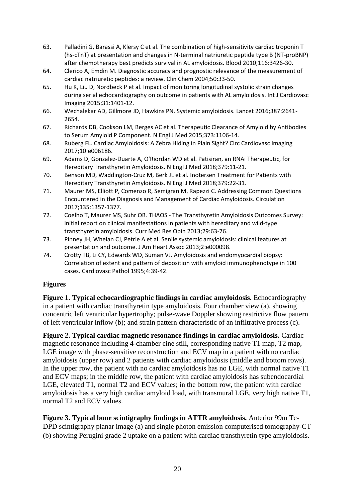- 63. Palladini G, Barassi A, Klersy C et al. The combination of high-sensitivity cardiac troponin T (hs-cTnT) at presentation and changes in N-terminal natriuretic peptide type B (NT-proBNP) after chemotherapy best predicts survival in AL amyloidosis. Blood 2010;116:3426-30.
- 64. Clerico A, Emdin M. Diagnostic accuracy and prognostic relevance of the measurement of cardiac natriuretic peptides: a review. Clin Chem 2004;50:33-50.
- 65. Hu K, Liu D, Nordbeck P et al. Impact of monitoring longitudinal systolic strain changes during serial echocardiography on outcome in patients with AL amyloidosis. Int J Cardiovasc Imaging 2015;31:1401-12.
- 66. Wechalekar AD, Gillmore JD, Hawkins PN. Systemic amyloidosis. Lancet 2016;387:2641- 2654.
- 67. Richards DB, Cookson LM, Berges AC et al. Therapeutic Clearance of Amyloid by Antibodies to Serum Amyloid P Component. N Engl J Med 2015;373:1106-14.
- 68. Ruberg FL. Cardiac Amyloidosis: A Zebra Hiding in Plain Sight? Circ Cardiovasc Imaging 2017;10:e006186.
- 69. Adams D, Gonzalez-Duarte A, O'Riordan WD et al. Patisiran, an RNAi Therapeutic, for Hereditary Transthyretin Amyloidosis. N Engl J Med 2018;379:11-21.
- 70. Benson MD, Waddington-Cruz M, Berk JL et al. Inotersen Treatment for Patients with Hereditary Transthyretin Amyloidosis. N Engl J Med 2018;379:22-31.
- 71. Maurer MS, Elliott P, Comenzo R, Semigran M, Rapezzi C. Addressing Common Questions Encountered in the Diagnosis and Management of Cardiac Amyloidosis. Circulation 2017;135:1357-1377.
- 72. Coelho T, Maurer MS, Suhr OB. THAOS The Transthyretin Amyloidosis Outcomes Survey: initial report on clinical manifestations in patients with hereditary and wild-type transthyretin amyloidosis. Curr Med Res Opin 2013;29:63-76.
- 73. Pinney JH, Whelan CJ, Petrie A et al. Senile systemic amyloidosis: clinical features at presentation and outcome. J Am Heart Assoc 2013;2:e000098.
- 74. Crotty TB, Li CY, Edwards WD, Suman VJ. Amyloidosis and endomyocardial biopsy: Correlation of extent and pattern of deposition with amyloid immunophenotype in 100 cases. Cardiovasc Pathol 1995;4:39-42.

### **Figures**

**Figure 1. Typical echocardiographic findings in cardiac amyloidosis.** Echocardiography in a patient with cardiac transthyretin type amyloidosis. Four chamber view (a), showing concentric left ventricular hypertrophy; pulse-wave Doppler showing restrictive flow pattern of left ventricular inflow (b); and strain pattern characteristic of an infiltrative process (c).

**Figure 2. Typical cardiac magnetic resonance findings in cardiac amyloidosis.** Cardiac magnetic resonance including 4-chamber cine still, corresponding native T1 map, T2 map, LGE image with phase-sensitive reconstruction and ECV map in a patient with no cardiac amyloidosis (upper row) and 2 patients with cardiac amyloidosis (middle and bottom rows). In the upper row, the patient with no cardiac amyloidosis has no LGE, with normal native T1 and ECV maps; in the middle row, the patient with cardiac amyloidosis has subendocardial LGE, elevated T1, normal T2 and ECV values; in the bottom row, the patient with cardiac amyloidosis has a very high cardiac amyloid load, with transmural LGE, very high native T1, normal T2 and ECV values.

**Figure 3. Typical bone scintigraphy findings in ATTR amyloidosis.** Anterior 99m Tc-DPD scintigraphy planar image (a) and single photon emission computerised tomography-CT (b) showing Perugini grade 2 uptake on a patient with cardiac transthyretin type amyloidosis.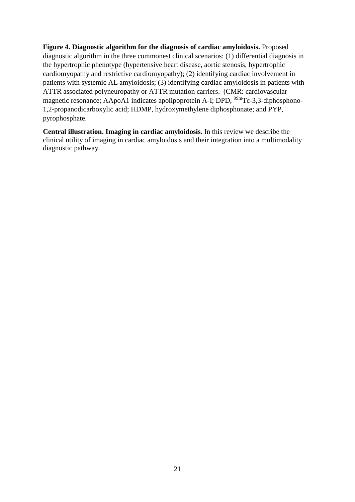**Figure 4. Diagnostic algorithm for the diagnosis of cardiac amyloidosis.** Proposed diagnostic algorithm in the three commonest clinical scenarios: (1) differential diagnosis in the hypertrophic phenotype (hypertensive heart disease, aortic stenosis, hypertrophic cardiomyopathy and restrictive cardiomyopathy); (2) identifying cardiac involvement in patients with systemic AL amyloidosis; (3) identifying cardiac amyloidosis in patients with ATTR associated polyneuropathy or ATTR mutation carriers. (CMR: cardiovascular magnetic resonance; AApoA1 indicates apolipoprotein A-I; DPD, <sup>99m</sup>Tc-3,3-diphosphono-1,2-propanodicarboxylic acid; HDMP, hydroxymethylene diphosphonate; and PYP, pyrophosphate.

**Central illustration. Imaging in cardiac amyloidosis.** In this review we describe the clinical utility of imaging in cardiac amyloidosis and their integration into a multimodality diagnostic pathway.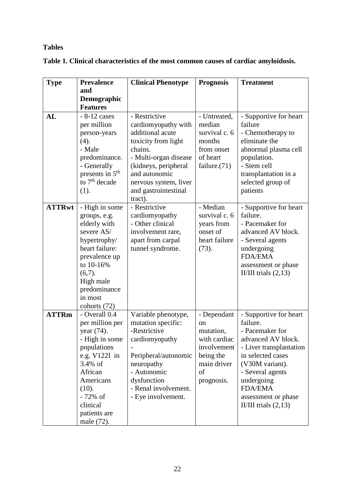# **Tables**

|  |  | Table 1. Clinical characteristics of the most common causes of cardiac amyloidosis. |  |  |  |  |  |
|--|--|-------------------------------------------------------------------------------------|--|--|--|--|--|
|--|--|-------------------------------------------------------------------------------------|--|--|--|--|--|

| <b>Type</b>   | <b>Prevalence</b>           | <b>Clinical Phenotype</b> | <b>Prognosis</b> | <b>Treatment</b>        |
|---------------|-----------------------------|---------------------------|------------------|-------------------------|
|               | and                         |                           |                  |                         |
|               | <b>Demographic</b>          |                           |                  |                         |
|               | <b>Features</b>             |                           |                  |                         |
| AL            | $-8-12$ cases               | - Restrictive             | - Untreated,     | - Supportive for heart  |
|               | per million                 | cardiomyopathy with       | median           | failure                 |
|               | person-years                | additional acute          | survival c. 6    | - Chemotherapy to       |
|               | (4).                        | toxicity from light       | months           | eliminate the           |
|               | - Male                      | chains.                   | from onset       | abnormal plasma cell    |
|               | predominance.               | - Multi-organ disease     | of heart         | population.             |
|               | - Generally                 | (kidneys, peripheral      | failure. $(71)$  | - Stem cell             |
|               | presents in 5 <sup>th</sup> | and autonomic             |                  | transplantation in a    |
|               | to $7th$ decade             | nervous system, liver     |                  | selected group of       |
|               | (1).                        | and gastrointestinal      |                  | patients                |
|               |                             | tract).                   |                  |                         |
| <b>ATTRwt</b> | - High in some              | - Restrictive             | - Median         | - Supportive for heart  |
|               | groups, e.g.                | cardiomyopathy            | survival c. 6    | failure.                |
|               | elderly with                | - Other clinical          | years from       | - Pacemaker for         |
|               | severe AS/                  | involvement rare,         | onset of         | advanced AV block.      |
|               | hypertrophy/                | apart from carpal         | heart failure    | - Several agents        |
|               | heart failure:              | tunnel syndrome.          | (73).            | undergoing              |
|               | prevalence up               |                           |                  | <b>FDA/EMA</b>          |
|               | to 10-16%                   |                           |                  | assessment or phase     |
|               | (6,7).                      |                           |                  | II/III trials $(2,13)$  |
|               | High male                   |                           |                  |                         |
|               | predominance                |                           |                  |                         |
|               | in most                     |                           |                  |                         |
|               | cohorts (72)                |                           |                  |                         |
| <b>ATTRm</b>  | - Overall 0.4               | Variable phenotype,       | - Dependant      | - Supportive for heart  |
|               | per million per             | mutation specific:        | <sub>on</sub>    | failure.                |
|               | year (74).                  | -Restrictive              | mutation,        | - Pacemaker for         |
|               | - High in some              | cardiomyopathy            | with cardiac     | advanced AV block.      |
|               | populations                 |                           | involvement      | - Liver transplantation |
|               | e.g. $V122I$ in             | Peripheral/autonomic      | being the        | in selected cases       |
|               | 3.4% of                     | neuropathy                | main driver      | (V30M variant).         |
|               | African                     | - Autonomic               | of               | - Several agents        |
|               | Americans                   | dysfunction               | prognosis.       | undergoing              |
|               | (10).                       | - Renal involvement.      |                  | <b>FDA/EMA</b>          |
|               | - 72% of                    | - Eye involvement.        |                  | assessment or phase     |
|               | clinical                    |                           |                  | II/III trials $(2,13)$  |
|               | patients are                |                           |                  |                         |
|               | male (72).                  |                           |                  |                         |